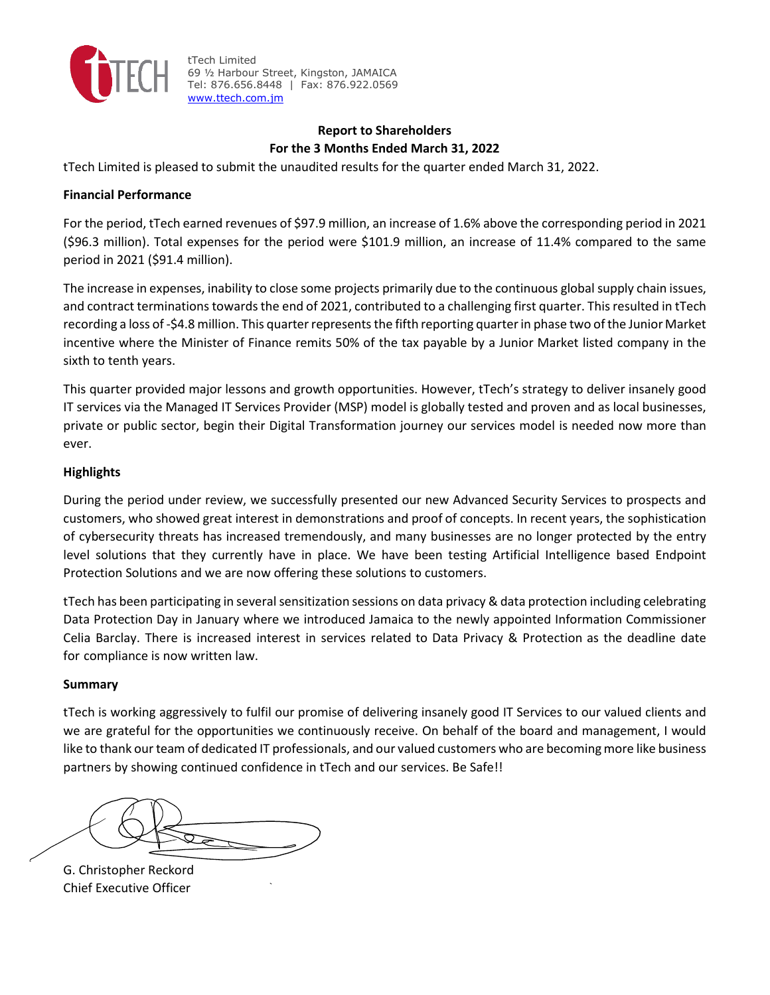

### **Report to Shareholders For the 3 Months Ended March 31, 2022**

tTech Limited is pleased to submit the unaudited results for the quarter ended March 31, 2022.

#### **Financial Performance**

For the period, tTech earned revenues of \$97.9 million, an increase of 1.6% above the corresponding period in 2021 (\$96.3 million). Total expenses for the period were \$101.9 million, an increase of 11.4% compared to the same period in 2021 (\$91.4 million).

The increase in expenses, inability to close some projects primarily due to the continuous global supply chain issues, and contract terminations towards the end of 2021, contributed to a challenging first quarter. This resulted in tTech recording a loss of -\$4.8 million. This quarter represents the fifth reporting quarter in phase two of the Junior Market incentive where the Minister of Finance remits 50% of the tax payable by a Junior Market listed company in the sixth to tenth years.

This quarter provided major lessons and growth opportunities. However, tTech's strategy to deliver insanely good IT services via the Managed IT Services Provider (MSP) model is globally tested and proven and as local businesses, private or public sector, begin their Digital Transformation journey our services model is needed now more than ever.

#### **Highlights**

During the period under review, we successfully presented our new Advanced Security Services to prospects and customers, who showed great interest in demonstrations and proof of concepts. In recent years, the sophistication of cybersecurity threats has increased tremendously, and many businesses are no longer protected by the entry level solutions that they currently have in place. We have been testing Artificial Intelligence based Endpoint Protection Solutions and we are now offering these solutions to customers.

tTech has been participating in several sensitization sessions on data privacy & data protection including celebrating Data Protection Day in January where we introduced Jamaica to the newly appointed Information Commissioner Celia Barclay. There is increased interest in services related to Data Privacy & Protection as the deadline date for compliance is now written law.

#### **Summary**

tTech is working aggressively to fulfil our promise of delivering insanely good IT Services to our valued clients and we are grateful for the opportunities we continuously receive. On behalf of the board and management, I would like to thank our team of dedicated IT professionals, and our valued customers who are becoming more like business partners by showing continued confidence in tTech and our services. Be Safe!!

G. Christopher Reckord Chief Executive Officer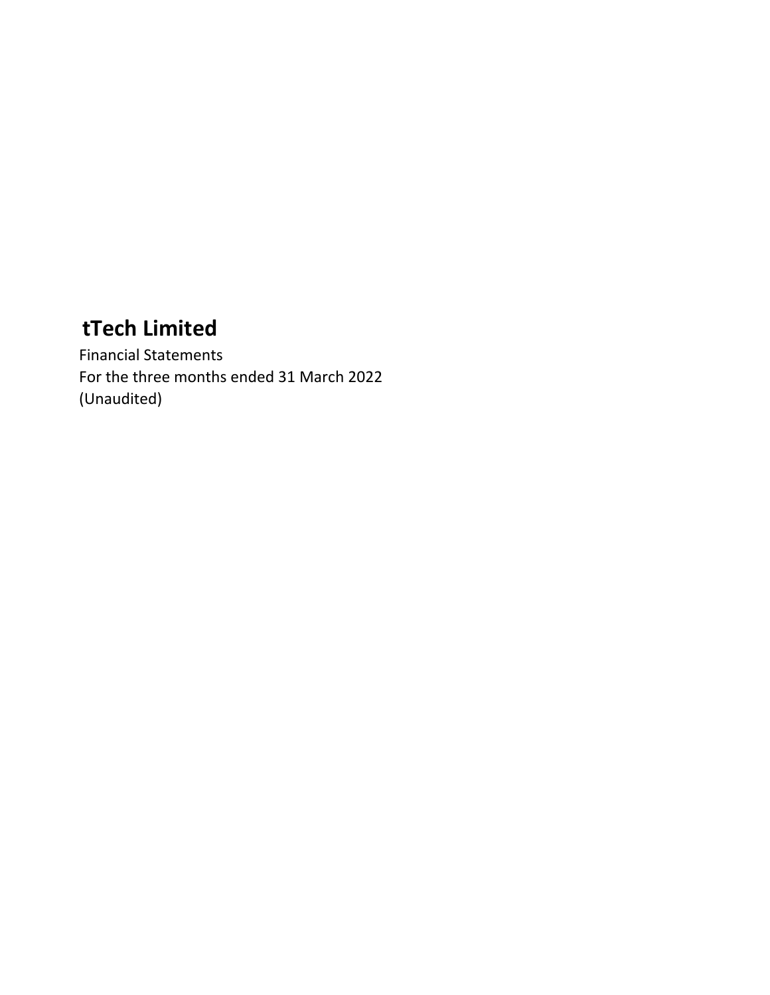Financial Statements For the three months ended 31 March 2022 (Unaudited)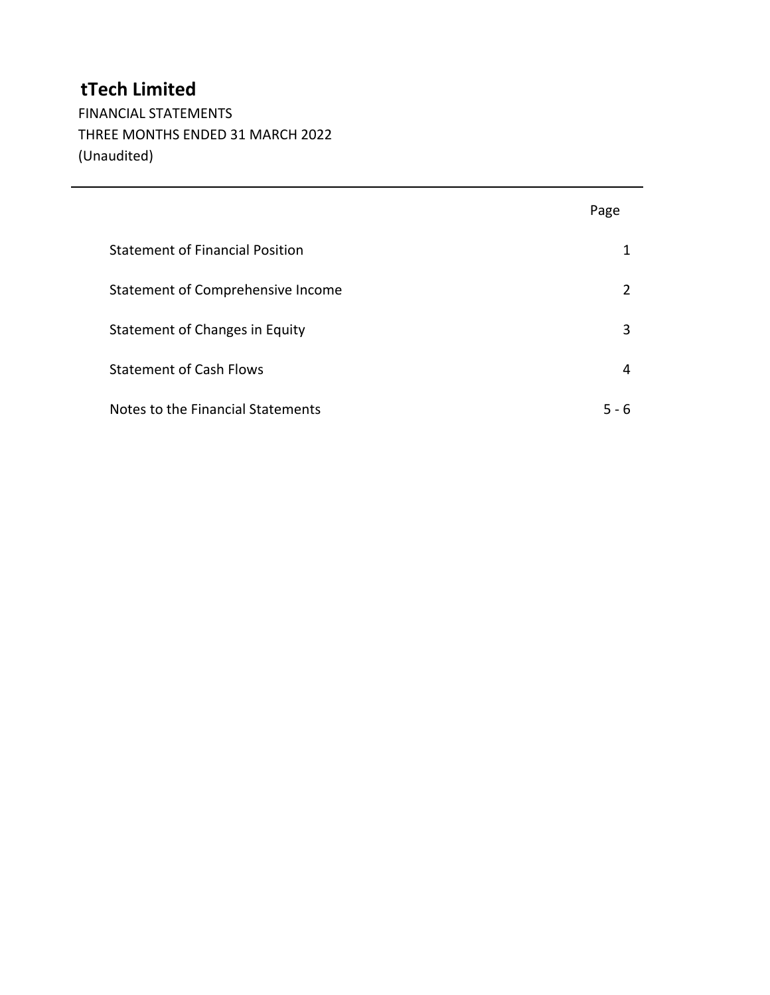FINANCIAL STATEMENTS THREE MONTHS ENDED 31 MARCH 2022 (Unaudited)

|                                        | Page          |
|----------------------------------------|---------------|
| <b>Statement of Financial Position</b> | 1             |
| Statement of Comprehensive Income      | $\mathcal{P}$ |
| Statement of Changes in Equity         | 3             |
| <b>Statement of Cash Flows</b>         | 4             |
| Notes to the Financial Statements      | 5 - 6         |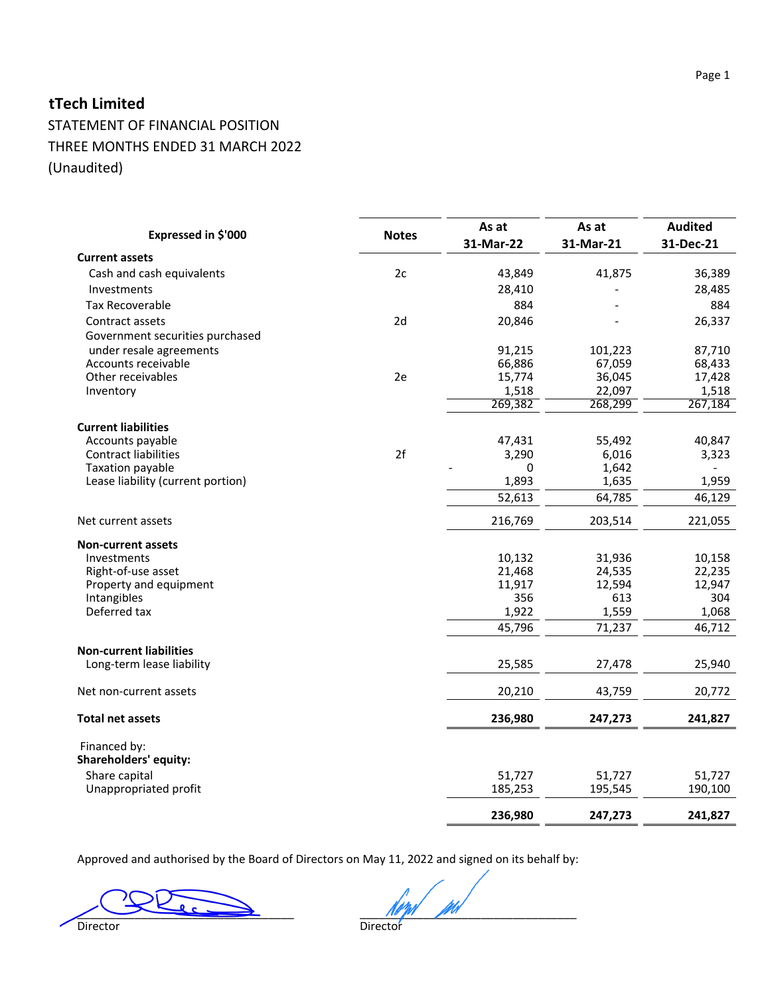STATEMENT OF FINANCIAL POSITION THREE MONTHS ENDED 31 MARCH 2022 (Unaudited)

|                                       |              | As at     | As at     | <b>Audited</b> |
|---------------------------------------|--------------|-----------|-----------|----------------|
| Expressed in \$'000                   | <b>Notes</b> | 31-Mar-22 | 31-Mar-21 | 31-Dec-21      |
| <b>Current assets</b>                 |              |           |           |                |
| Cash and cash equivalents             | 2c           | 43,849    | 41,875    | 36,389         |
| Investments                           |              | 28,410    |           | 28,485         |
| <b>Tax Recoverable</b>                |              | 884       |           | 884            |
| Contract assets                       | 2d           | 20,846    |           | 26,337         |
| Government securities purchased       |              |           |           |                |
| under resale agreements               |              | 91,215    | 101,223   | 87,710         |
| Accounts receivable                   |              | 66,886    | 67,059    | 68,433         |
| Other receivables                     | 2e           | 15,774    | 36,045    | 17,428         |
| Inventory                             |              | 1,518     | 22,097    | 1,518          |
|                                       |              | 269,382   | 268,299   | 267,184        |
| <b>Current liabilities</b>            |              |           |           |                |
| Accounts payable                      |              | 47,431    | 55,492    | 40,847         |
| <b>Contract liabilities</b>           | 2f           | 3,290     | 6,016     | 3,323          |
| Taxation payable                      |              | $\Omega$  | 1,642     |                |
| Lease liability (current portion)     |              | 1,893     | 1,635     | 1,959          |
|                                       |              | 52,613    | 64,785    | 46,129         |
| Net current assets                    |              | 216,769   | 203,514   | 221,055        |
| <b>Non-current assets</b>             |              |           |           |                |
| Investments                           |              | 10,132    | 31,936    | 10,158         |
| Right-of-use asset                    |              | 21,468    | 24,535    | 22,235         |
| Property and equipment                |              | 11,917    | 12,594    | 12,947         |
| Intangibles                           |              | 356       | 613       | 304            |
| Deferred tax                          |              | 1,922     | 1,559     | 1,068          |
|                                       |              | 45,796    | 71,237    | 46,712         |
| <b>Non-current liabilities</b>        |              |           |           |                |
| Long-term lease liability             |              | 25,585    | 27,478    | 25,940         |
| Net non-current assets                |              | 20,210    | 43,759    | 20,772         |
| <b>Total net assets</b>               |              | 236,980   | 247,273   | 241,827        |
|                                       |              |           |           |                |
| Financed by:<br>Shareholders' equity: |              |           |           |                |
| Share capital                         |              | 51,727    | 51,727    | 51,727         |
| Unappropriated profit                 |              | 185,253   | 195,545   | 190,100        |
|                                       |              | 236,980   | 247,273   | 241,827        |

Page 1

Approved and authorised by the Board of Directors on May 11, 2022 and signed on its behalf by:

 $\frac{1}{\text{Directory}}$ 

Director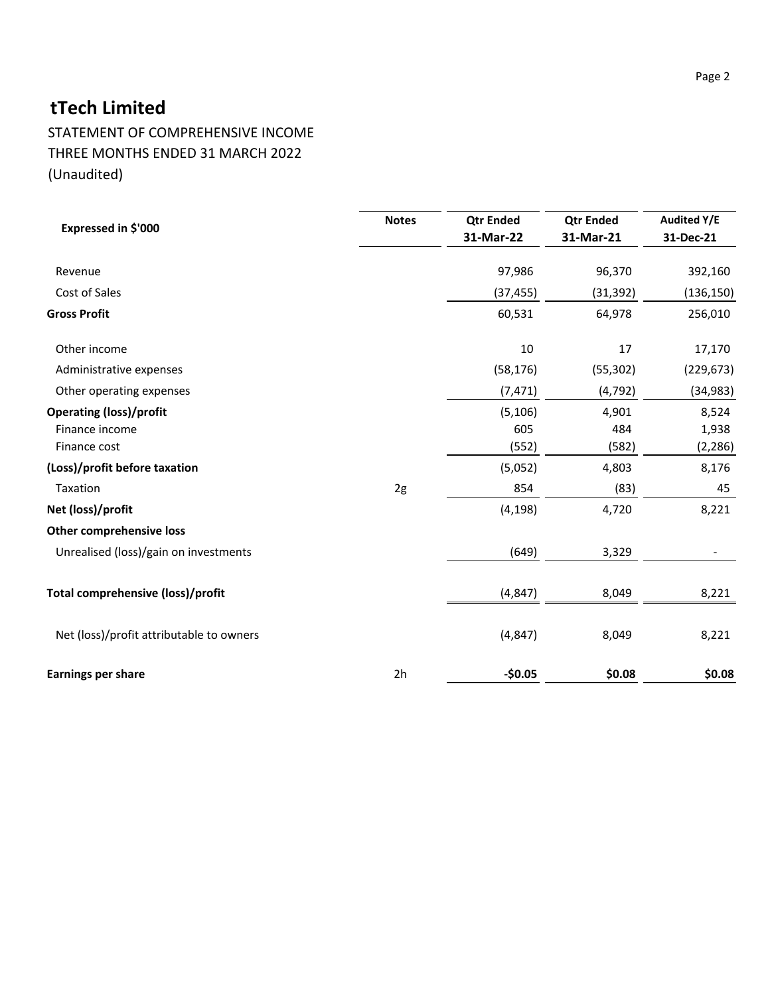STATEMENT OF COMPREHENSIVE INCOME THREE MONTHS ENDED 31 MARCH 2022 (Unaudited)

| Expressed in \$'000                                              | <b>Notes</b> | <b>Qtr Ended</b><br>31-Mar-22 | <b>Qtr Ended</b><br>31-Mar-21 | <b>Audited Y/E</b><br>31-Dec-21 |
|------------------------------------------------------------------|--------------|-------------------------------|-------------------------------|---------------------------------|
| Revenue                                                          |              | 97,986                        | 96,370                        | 392,160                         |
| Cost of Sales                                                    |              | (37, 455)                     | (31, 392)                     | (136, 150)                      |
| <b>Gross Profit</b>                                              |              | 60,531                        | 64,978                        | 256,010                         |
| Other income                                                     |              | 10                            | 17                            | 17,170                          |
| Administrative expenses                                          |              | (58, 176)                     | (55, 302)                     | (229, 673)                      |
| Other operating expenses                                         |              | (7, 471)                      | (4, 792)                      | (34, 983)                       |
| <b>Operating (loss)/profit</b><br>Finance income<br>Finance cost |              | (5, 106)<br>605<br>(552)      | 4,901<br>484<br>(582)         | 8,524<br>1,938<br>(2, 286)      |
| (Loss)/profit before taxation                                    |              | (5,052)                       | 4,803                         | 8,176                           |
| Taxation                                                         | 2g           | 854                           | (83)                          | 45                              |
| Net (loss)/profit                                                |              | (4, 198)                      | 4,720                         | 8,221                           |
| Other comprehensive loss                                         |              |                               |                               |                                 |
| Unrealised (loss)/gain on investments                            |              | (649)                         | 3,329                         |                                 |
| Total comprehensive (loss)/profit                                |              | (4, 847)                      | 8,049                         | 8,221                           |
| Net (loss)/profit attributable to owners                         |              | (4, 847)                      | 8,049                         | 8,221                           |
| <b>Earnings per share</b>                                        | 2h           | $-50.05$                      | \$0.08                        | \$0.08                          |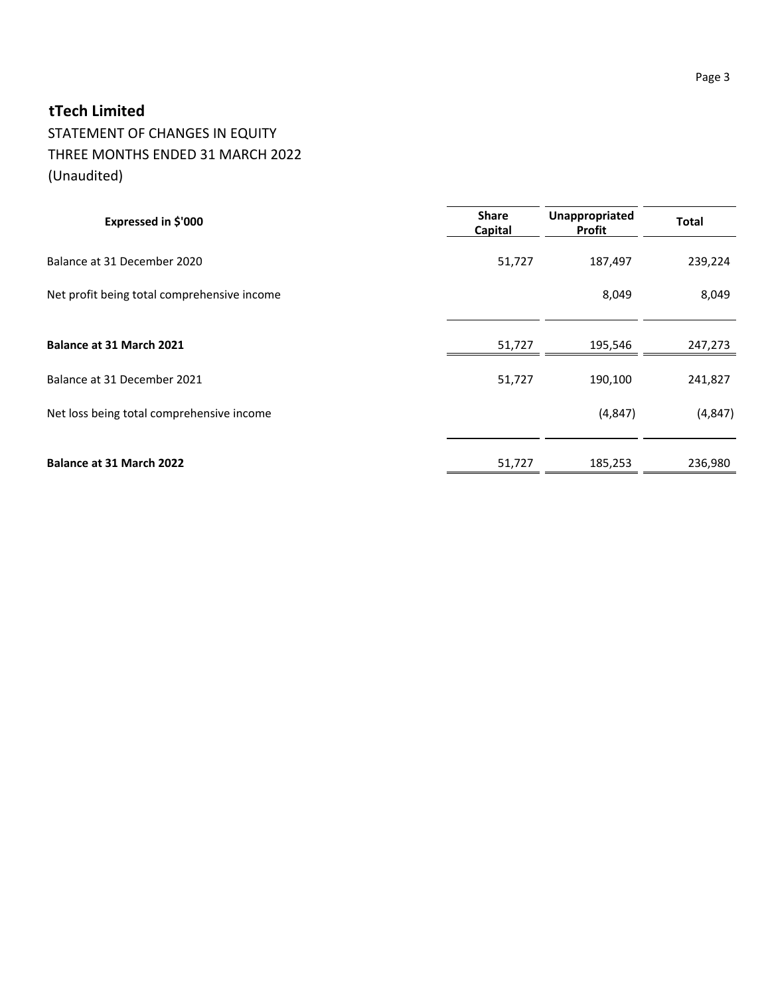## STATEMENT OF CHANGES IN EQUITY THREE MONTHS ENDED 31 MARCH 2022 (Unaudited)

| Expressed in \$'000                         | <b>Share</b><br>Capital | Unappropriated<br>Profit | <b>Total</b> |
|---------------------------------------------|-------------------------|--------------------------|--------------|
| Balance at 31 December 2020                 | 51,727                  | 187,497                  | 239,224      |
| Net profit being total comprehensive income |                         | 8,049                    | 8,049        |
| Balance at 31 March 2021                    | 51,727                  | 195,546                  | 247,273      |
| Balance at 31 December 2021                 | 51,727                  | 190,100                  | 241,827      |
| Net loss being total comprehensive income   |                         | (4, 847)                 | (4, 847)     |
| Balance at 31 March 2022                    | 51,727                  | 185,253                  | 236,980      |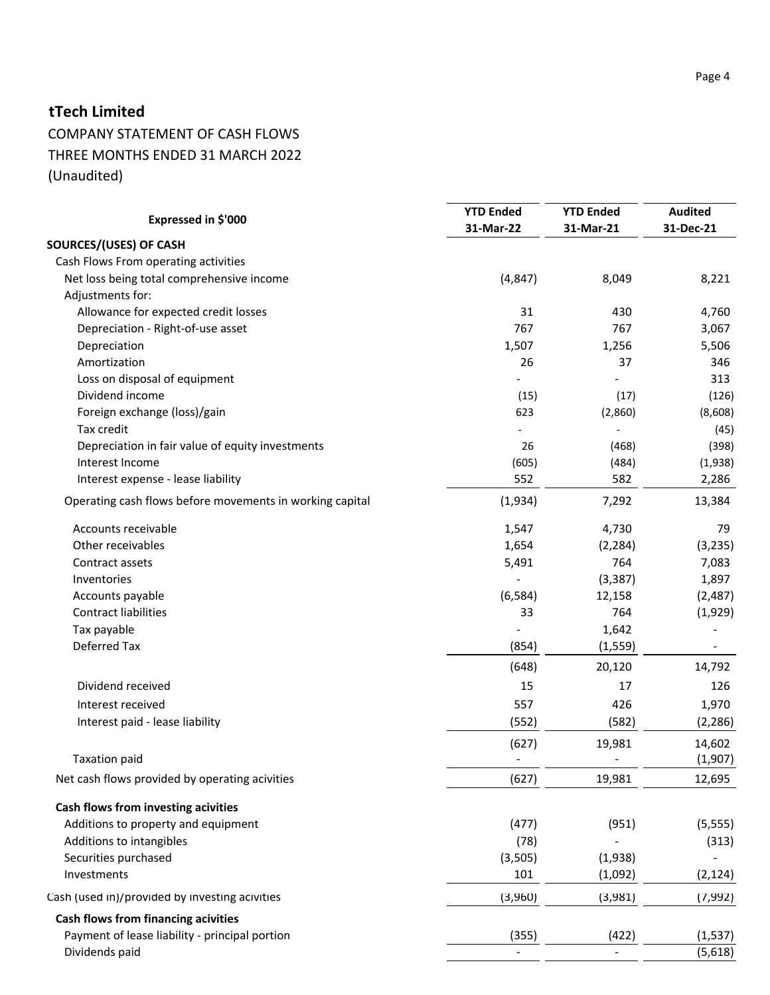## COMPANY STATEMENT OF CASH FLOWS THREE MONTHS ENDED 31 MARCH 2022 (Unaudited)

| Expressed in \$'000                                      | <b>YTD Ended</b><br>31-Mar-22 | <b>YTD Ended</b><br>31-Mar-21 | <b>Audited</b><br>31-Dec-21 |
|----------------------------------------------------------|-------------------------------|-------------------------------|-----------------------------|
| SOURCES/(USES) OF CASH                                   |                               |                               |                             |
| Cash Flows From operating activities                     |                               |                               |                             |
| Net loss being total comprehensive income                | (4, 847)                      | 8,049                         | 8,221                       |
| Adjustments for:                                         |                               |                               |                             |
| Allowance for expected credit losses                     | 31                            | 430                           | 4,760                       |
| Depreciation - Right-of-use asset                        | 767                           | 767                           | 3,067                       |
| Depreciation                                             | 1,507                         | 1,256                         | 5,506                       |
| Amortization                                             | 26                            | 37                            | 346                         |
| Loss on disposal of equipment                            |                               |                               | 313                         |
| Dividend income                                          | (15)                          | (17)                          | (126)                       |
| Foreign exchange (loss)/gain                             | 623                           | (2,860)                       | (8,608)                     |
| Tax credit                                               |                               |                               | (45)                        |
| Depreciation in fair value of equity investments         | 26                            | (468)                         | (398)                       |
| Interest Income                                          | (605)                         | (484)                         | (1,938)                     |
| Interest expense - lease liability                       | 552                           | 582                           | 2,286                       |
| Operating cash flows before movements in working capital | (1,934)                       | 7,292                         | 13,384                      |
| Accounts receivable                                      | 1,547                         | 4,730                         | 79                          |
| Other receivables                                        | 1,654                         | (2, 284)                      | (3, 235)                    |
| Contract assets                                          | 5,491                         | 764                           | 7,083                       |
| Inventories                                              |                               | (3, 387)                      | 1,897                       |
| Accounts payable                                         | (6, 584)                      | 12,158                        | (2,487)                     |
| Contract liabilities                                     | 33                            | 764                           | (1,929)                     |
| Tax payable                                              |                               | 1,642                         |                             |
| Deferred Tax                                             | (854)                         | (1, 559)                      |                             |
|                                                          | (648)                         | 20,120                        | 14,792                      |
| Dividend received                                        | 15                            | 17                            | 126                         |
| Interest received                                        | 557                           | 426                           | 1,970                       |
| Interest paid - lease liability                          | (552)                         | (582)                         | (2, 286)                    |
|                                                          | (627)                         | 19,981                        | 14,602                      |
| <b>Taxation paid</b>                                     |                               |                               | (1,907)                     |
| Net cash flows provided by operating acivities           | (627)                         | 19,981                        | 12,695                      |
| Cash flows from investing acivities                      |                               |                               |                             |
| Additions to property and equipment                      | (477)                         | (951)                         | (5, 555)                    |
| Additions to intangibles                                 | (78)                          |                               | (313)                       |
| Securities purchased                                     | (3,505)                       | (1,938)                       |                             |
| Investments                                              | 101                           | (1,092)                       | (2, 124)                    |
| Cash (used in)/provided by investing acivities           | (3,960)                       | (3,981)                       | (7,992)                     |
| <b>Cash flows from financing acivities</b>               |                               |                               |                             |
| Payment of lease liability - principal portion           | (355)                         | (422)                         | (1, 537)                    |
| Dividends paid                                           |                               |                               | (5,618)                     |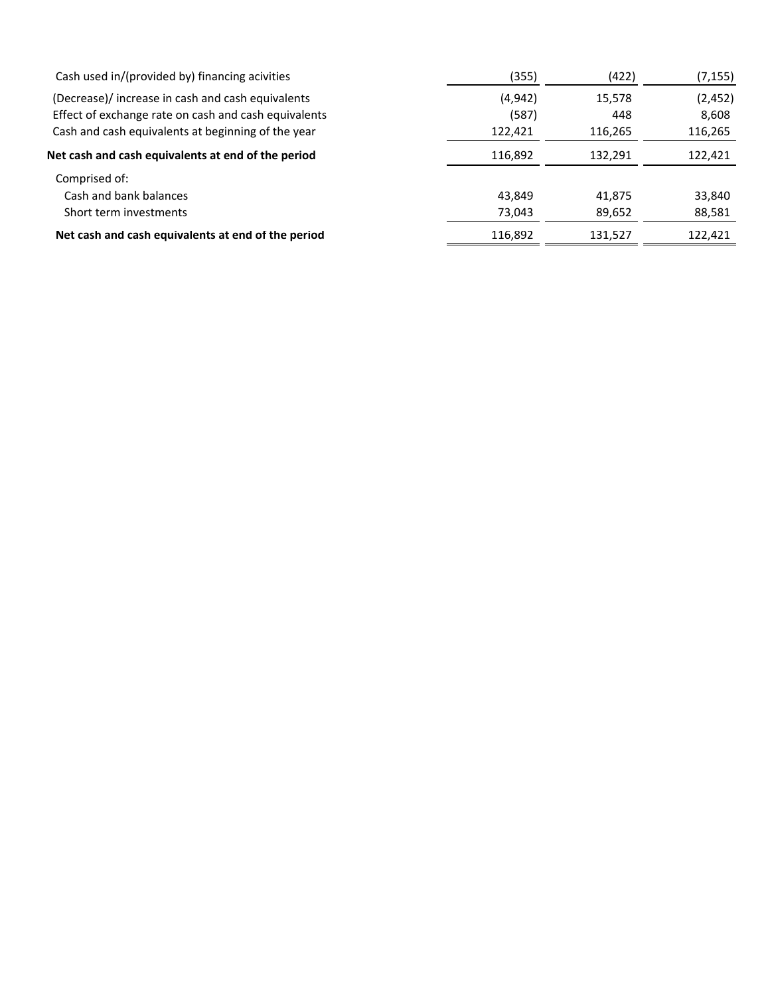| Cash used in/(provided by) financing acivities       | (355)   | (422)   | (7,155)  |
|------------------------------------------------------|---------|---------|----------|
| (Decrease)/ increase in cash and cash equivalents    | (4,942) | 15,578  | (2, 452) |
| Effect of exchange rate on cash and cash equivalents | (587)   | 448     | 8,608    |
| Cash and cash equivalents at beginning of the year   | 122,421 | 116,265 | 116,265  |
| Net cash and cash equivalents at end of the period   | 116.892 | 132.291 | 122,421  |
| Comprised of:                                        |         |         |          |
| Cash and bank balances                               | 43,849  | 41,875  | 33,840   |
| Short term investments                               | 73,043  | 89,652  | 88,581   |
| Net cash and cash equivalents at end of the period   | 116,892 | 131,527 | 122,421  |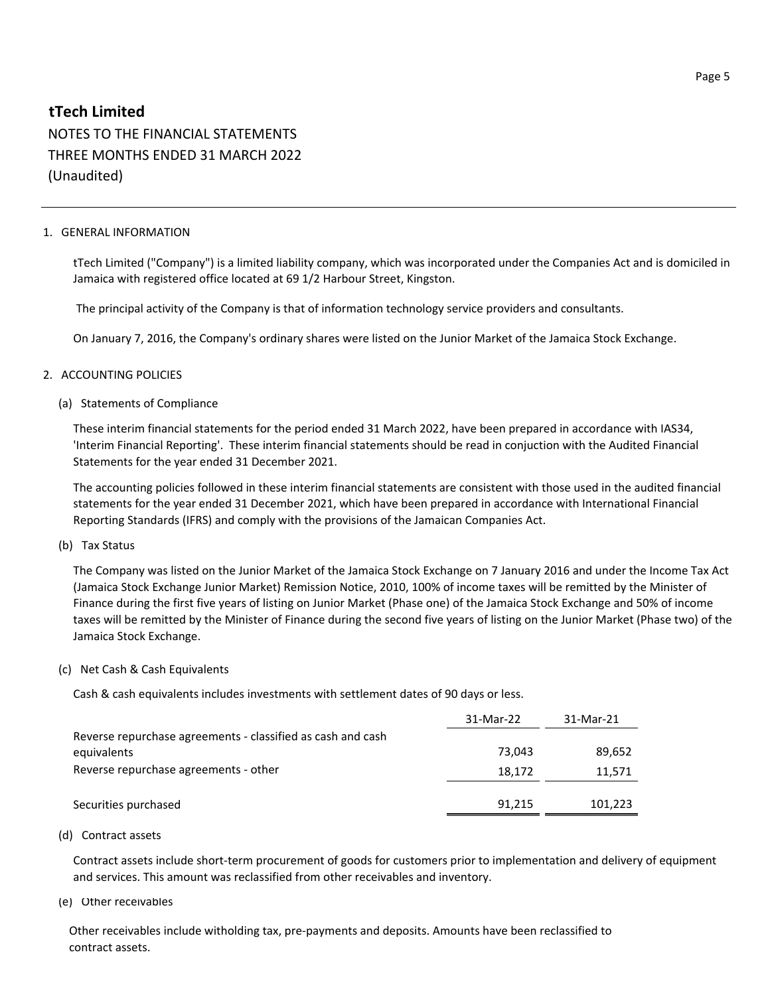NOTES TO THE FINANCIAL STATEMENTS THREE MONTHS ENDED 31 MARCH 2022 (Unaudited)

#### 1. GENERAL INFORMATION

tTech Limited ("Company") is a limited liability company, which was incorporated under the Companies Act and is domiciled in Jamaica with registered office located at 69 1/2 Harbour Street, Kingston.

The principal activity of the Company is that of information technology service providers and consultants.

On January 7, 2016, the Company's ordinary shares were listed on the Junior Market of the Jamaica Stock Exchange.

#### 2. ACCOUNTING POLICIES

#### (a) Statements of Compliance

These interim financial statements for the period ended 31 March 2022, have been prepared in accordance with IAS34, 'Interim Financial Reporting'. These interim financial statements should be read in conjuction with the Audited Financial Statements for the year ended 31 December 2021.

The accounting policies followed in these interim financial statements are consistent with those used in the audited financial statements for the year ended 31 December 2021, which have been prepared in accordance with International Financial Reporting Standards (IFRS) and comply with the provisions of the Jamaican Companies Act.

#### (b) Tax Status

The Company was listed on the Junior Market of the Jamaica Stock Exchange on 7 January 2016 and under the Income Tax Act (Jamaica Stock Exchange Junior Market) Remission Notice, 2010, 100% of income taxes will be remitted by the Minister of Finance during the first five years of listing on Junior Market (Phase one) of the Jamaica Stock Exchange and 50% of income taxes will be remitted by the Minister of Finance during the second five years of listing on the Junior Market (Phase two) of the Jamaica Stock Exchange.

#### (c) Net Cash & Cash Equivalents

Cash & cash equivalents includes investments with settlement dates of 90 days or less.

|                                                             | 31-Mar-22 | 31-Mar-21 |
|-------------------------------------------------------------|-----------|-----------|
| Reverse repurchase agreements - classified as cash and cash |           |           |
| equivalents                                                 | 73.043    | 89,652    |
| Reverse repurchase agreements - other                       | 18.172    | 11,571    |
|                                                             |           |           |
| Securities purchased                                        | 91,215    | 101,223   |

#### (d) Contract assets

Contract assets include short-term procurement of goods for customers prior to implementation and delivery of equipment and services. This amount was reclassified from other receivables and inventory.

#### (e) Other receivables

 Other receivables include witholding tax, pre-payments and deposits. Amounts have been reclassified to contract assets.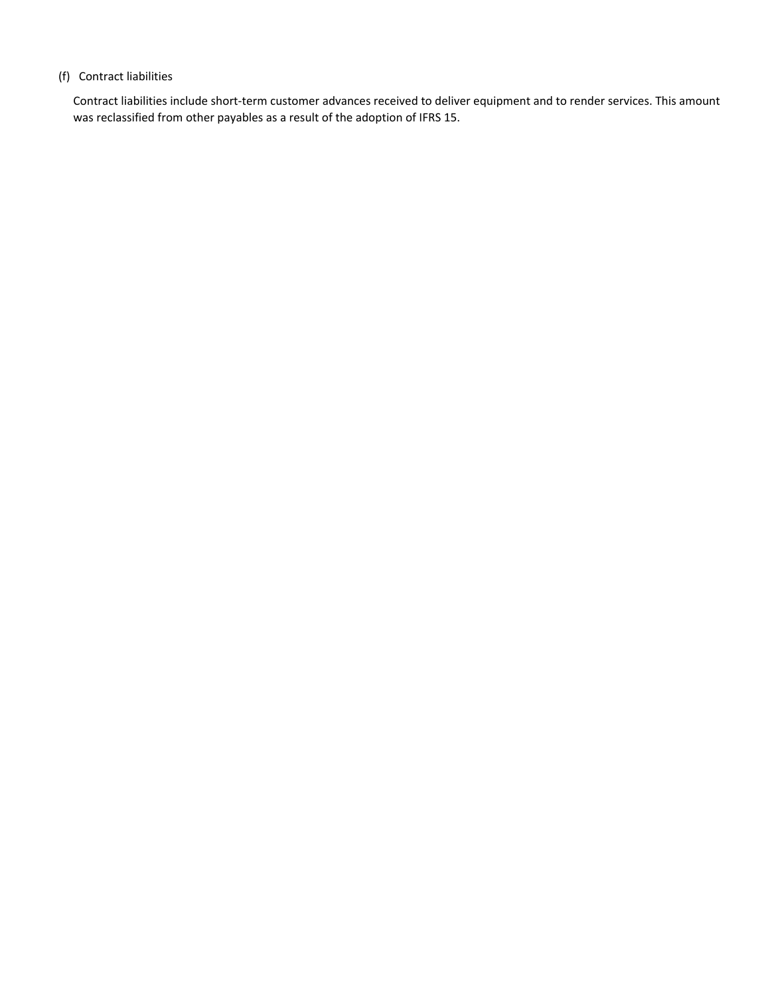#### (f) Contract liabilities

Contract liabilities include short-term customer advances received to deliver equipment and to render services. This amount was reclassified from other payables as a result of the adoption of IFRS 15.